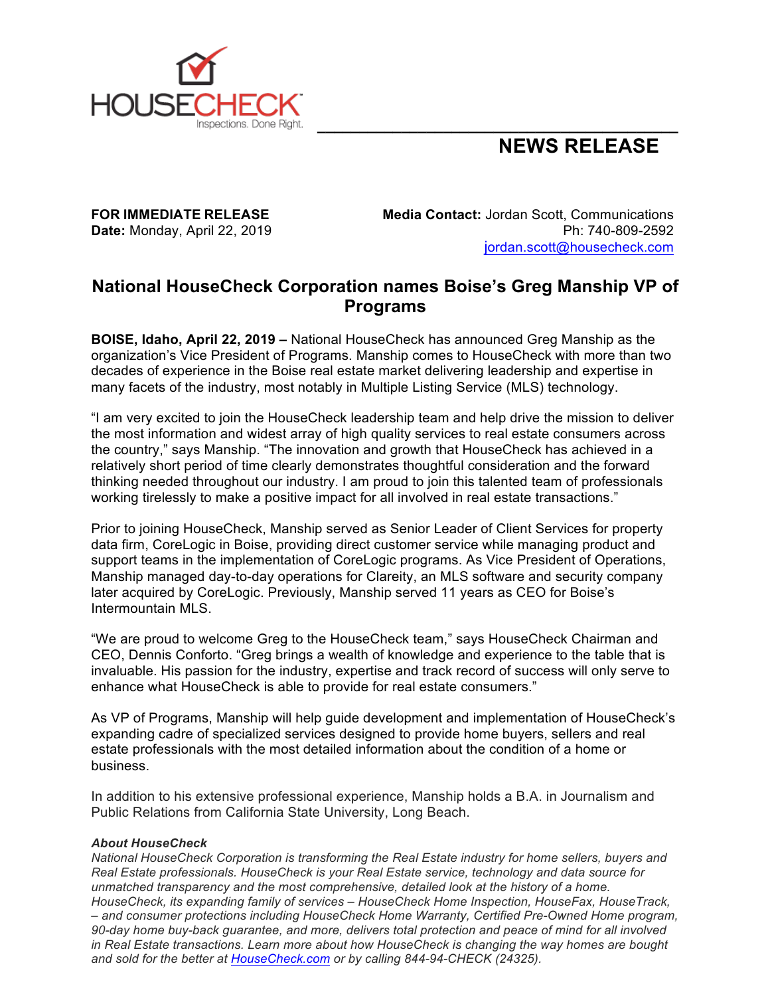

## **\_\_\_\_\_\_\_\_\_\_\_\_\_\_\_\_\_\_\_\_\_\_\_\_\_\_\_\_\_\_\_\_\_\_\_\_\_\_\_\_\_\_\_ NEWS RELEASE**

**FOR IMMEDIATE RELEASE Media Contact:** Jordan Scott, Communications **Date:** Monday, April 22, 2019 **Ph: 740-809-2592** Ph: 740-809-2592 jordan.scott@housecheck.com

## **National HouseCheck Corporation names Boise's Greg Manship VP of Programs**

**BOISE, Idaho, April 22, 2019 –** National HouseCheck has announced Greg Manship as the organization's Vice President of Programs. Manship comes to HouseCheck with more than two decades of experience in the Boise real estate market delivering leadership and expertise in many facets of the industry, most notably in Multiple Listing Service (MLS) technology.

"I am very excited to join the HouseCheck leadership team and help drive the mission to deliver the most information and widest array of high quality services to real estate consumers across the country," says Manship. "The innovation and growth that HouseCheck has achieved in a relatively short period of time clearly demonstrates thoughtful consideration and the forward thinking needed throughout our industry. I am proud to join this talented team of professionals working tirelessly to make a positive impact for all involved in real estate transactions."

Prior to joining HouseCheck, Manship served as Senior Leader of Client Services for property data firm, CoreLogic in Boise, providing direct customer service while managing product and support teams in the implementation of CoreLogic programs. As Vice President of Operations, Manship managed day-to-day operations for Clareity, an MLS software and security company later acquired by CoreLogic. Previously, Manship served 11 years as CEO for Boise's Intermountain MLS.

"We are proud to welcome Greg to the HouseCheck team," says HouseCheck Chairman and CEO, Dennis Conforto. "Greg brings a wealth of knowledge and experience to the table that is invaluable. His passion for the industry, expertise and track record of success will only serve to enhance what HouseCheck is able to provide for real estate consumers."

As VP of Programs, Manship will help guide development and implementation of HouseCheck's expanding cadre of specialized services designed to provide home buyers, sellers and real estate professionals with the most detailed information about the condition of a home or business.

In addition to his extensive professional experience, Manship holds a B.A. in Journalism and Public Relations from California State University, Long Beach.

## *About HouseCheck*

*National HouseCheck Corporation is transforming the Real Estate industry for home sellers, buyers and Real Estate professionals. HouseCheck is your Real Estate service, technology and data source for unmatched transparency and the most comprehensive, detailed look at the history of a home. HouseCheck, its expanding family of services – HouseCheck Home Inspection, HouseFax, HouseTrack, – and consumer protections including HouseCheck Home Warranty, Certified Pre-Owned Home program, 90-day home buy-back guarantee, and more, delivers total protection and peace of mind for all involved in Real Estate transactions. Learn more about how HouseCheck is changing the way homes are bought and sold for the better at HouseCheck.com or by calling 844-94-CHECK (24325).*